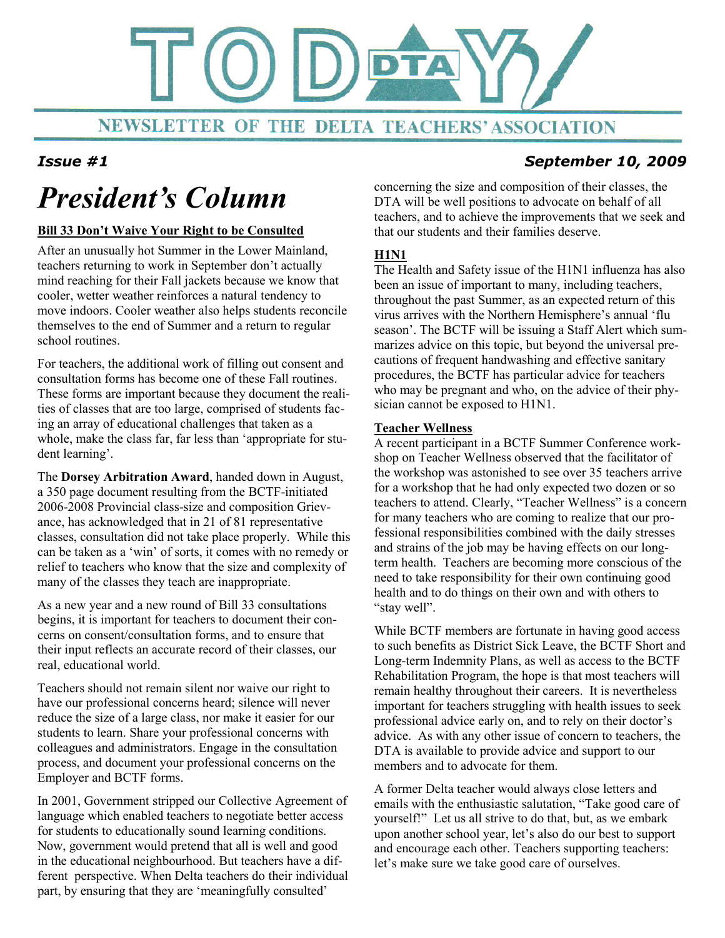

#### Issue #1 September 10, 2009

# President's Column

#### Bill 33 Don't Waive Your Right to be Consulted

After an unusually hot Summer in the Lower Mainland, teachers returning to work in September don't actually mind reaching for their Fall jackets because we know that cooler, wetter weather reinforces a natural tendency to move indoors. Cooler weather also helps students reconcile themselves to the end of Summer and a return to regular school routines.

For teachers, the additional work of filling out consent and consultation forms has become one of these Fall routines. These forms are important because they document the realities of classes that are too large, comprised of students facing an array of educational challenges that taken as a whole, make the class far, far less than 'appropriate for student learning'.

The Dorsey Arbitration Award, handed down in August, a 350 page document resulting from the BCTF-initiated 2006-2008 Provincial class-size and composition Grievance, has acknowledged that in 21 of 81 representative classes, consultation did not take place properly. While this can be taken as a 'win' of sorts, it comes with no remedy or relief to teachers who know that the size and complexity of many of the classes they teach are inappropriate.

As a new year and a new round of Bill 33 consultations begins, it is important for teachers to document their concerns on consent/consultation forms, and to ensure that their input reflects an accurate record of their classes, our real, educational world.

Teachers should not remain silent nor waive our right to have our professional concerns heard; silence will never reduce the size of a large class, nor make it easier for our students to learn. Share your professional concerns with colleagues and administrators. Engage in the consultation process, and document your professional concerns on the Employer and BCTF forms.

In 2001, Government stripped our Collective Agreement of language which enabled teachers to negotiate better access for students to educationally sound learning conditions. Now, government would pretend that all is well and good in the educational neighbourhood. But teachers have a different perspective. When Delta teachers do their individual part, by ensuring that they are 'meaningfully consulted'

concerning the size and composition of their classes, the DTA will be well positions to advocate on behalf of all teachers, and to achieve the improvements that we seek and that our students and their families deserve.

#### **H1N1**

The Health and Safety issue of the H1N1 influenza has also been an issue of important to many, including teachers, throughout the past Summer, as an expected return of this virus arrives with the Northern Hemisphere's annual 'flu season'. The BCTF will be issuing a Staff Alert which summarizes advice on this topic, but beyond the universal precautions of frequent handwashing and effective sanitary procedures, the BCTF has particular advice for teachers who may be pregnant and who, on the advice of their physician cannot be exposed to H1N1.

#### Teacher Wellness

A recent participant in a BCTF Summer Conference workshop on Teacher Wellness observed that the facilitator of the workshop was astonished to see over 35 teachers arrive for a workshop that he had only expected two dozen or so teachers to attend. Clearly, "Teacher Wellness" is a concern for many teachers who are coming to realize that our professional responsibilities combined with the daily stresses and strains of the job may be having effects on our longterm health. Teachers are becoming more conscious of the need to take responsibility for their own continuing good health and to do things on their own and with others to "stay well".

While BCTF members are fortunate in having good access to such benefits as District Sick Leave, the BCTF Short and Long-term Indemnity Plans, as well as access to the BCTF Rehabilitation Program, the hope is that most teachers will remain healthy throughout their careers. It is nevertheless important for teachers struggling with health issues to seek professional advice early on, and to rely on their doctor's advice. As with any other issue of concern to teachers, the DTA is available to provide advice and support to our members and to advocate for them.

A former Delta teacher would always close letters and emails with the enthusiastic salutation, "Take good care of yourself!" Let us all strive to do that, but, as we embark upon another school year, let's also do our best to support and encourage each other. Teachers supporting teachers: let's make sure we take good care of ourselves.